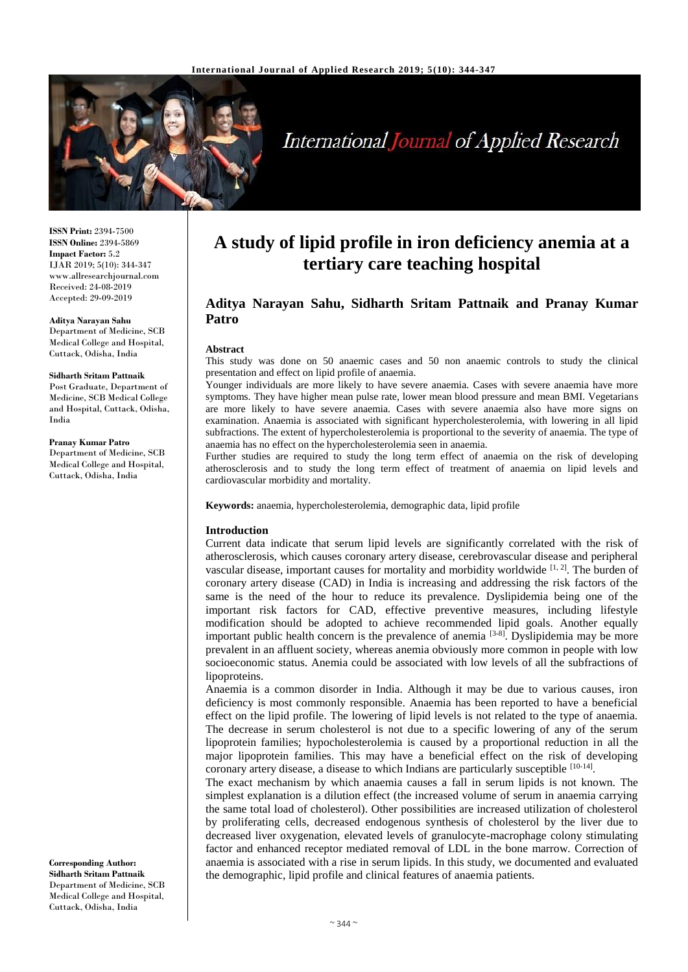

# International Journal of Applied Research

**ISSN Print:** 2394-7500 **ISSN Online:** 2394-5869 **Impact Factor:** 5.2 IJAR 2019; 5(10): 344-347 www.allresearchjournal.com Received: 24-08-2019 Accepted: 29-09-2019

#### **Aditya Narayan Sahu**

Department of Medicine, SCB Medical College and Hospital, Cuttack, Odisha, India

#### **Sidharth Sritam Pattnaik**

Post Graduate, Department of Medicine, SCB Medical College and Hospital, Cuttack, Odisha, India

#### **Pranay Kumar Patro**

Department of Medicine, SCB Medical College and Hospital, Cuttack, Odisha, India

**Corresponding Author: Sidharth Sritam Pattnaik** Department of Medicine, SCB Medical College and Hospital, Cuttack, Odisha, India

## **A study of lipid profile in iron deficiency anemia at a tertiary care teaching hospital**

### **Aditya Narayan Sahu, Sidharth Sritam Pattnaik and Pranay Kumar Patro**

#### **Abstract**

This study was done on 50 anaemic cases and 50 non anaemic controls to study the clinical presentation and effect on lipid profile of anaemia.

Younger individuals are more likely to have severe anaemia. Cases with severe anaemia have more symptoms. They have higher mean pulse rate, lower mean blood pressure and mean BMI. Vegetarians are more likely to have severe anaemia. Cases with severe anaemia also have more signs on examination. Anaemia is associated with significant hypercholesterolemia, with lowering in all lipid subfractions. The extent of hypercholesterolemia is proportional to the severity of anaemia. The type of anaemia has no effect on the hypercholesterolemia seen in anaemia.

Further studies are required to study the long term effect of anaemia on the risk of developing atherosclerosis and to study the long term effect of treatment of anaemia on lipid levels and cardiovascular morbidity and mortality.

**Keywords:** anaemia, hypercholesterolemia, demographic data, lipid profile

#### **Introduction**

Current data indicate that serum lipid levels are significantly correlated with the risk of atherosclerosis, which causes coronary artery disease, cerebrovascular disease and peripheral vascular disease, important causes for mortality and morbidity worldwide [1, 2]. The burden of coronary artery disease (CAD) in India is increasing and addressing the risk factors of the same is the need of the hour to reduce its prevalence. Dyslipidemia being one of the important risk factors for CAD, effective preventive measures, including lifestyle modification should be adopted to achieve recommended lipid goals. Another equally important public health concern is the prevalence of anemia <sup>[3-8]</sup>. Dyslipidemia may be more prevalent in an affluent society, whereas anemia obviously more common in people with low socioeconomic status. Anemia could be associated with low levels of all the subfractions of lipoproteins.

Anaemia is a common disorder in India. Although it may be due to various causes, iron deficiency is most commonly responsible. Anaemia has been reported to have a beneficial effect on the lipid profile. The lowering of lipid levels is not related to the type of anaemia. The decrease in serum cholesterol is not due to a specific lowering of any of the serum lipoprotein families; hypocholesterolemia is caused by a proportional reduction in all the major lipoprotein families. This may have a beneficial effect on the risk of developing coronary artery disease, a disease to which Indians are particularly susceptible [10-14].

The exact mechanism by which anaemia causes a fall in serum lipids is not known. The simplest explanation is a dilution effect (the increased volume of serum in anaemia carrying the same total load of cholesterol). Other possibilities are increased utilization of cholesterol by proliferating cells, decreased endogenous synthesis of cholesterol by the liver due to decreased liver oxygenation, elevated levels of granulocyte-macrophage colony stimulating factor and enhanced receptor mediated removal of LDL in the bone marrow. Correction of anaemia is associated with a rise in serum lipids. In this study, we documented and evaluated the demographic, lipid profile and clinical features of anaemia patients.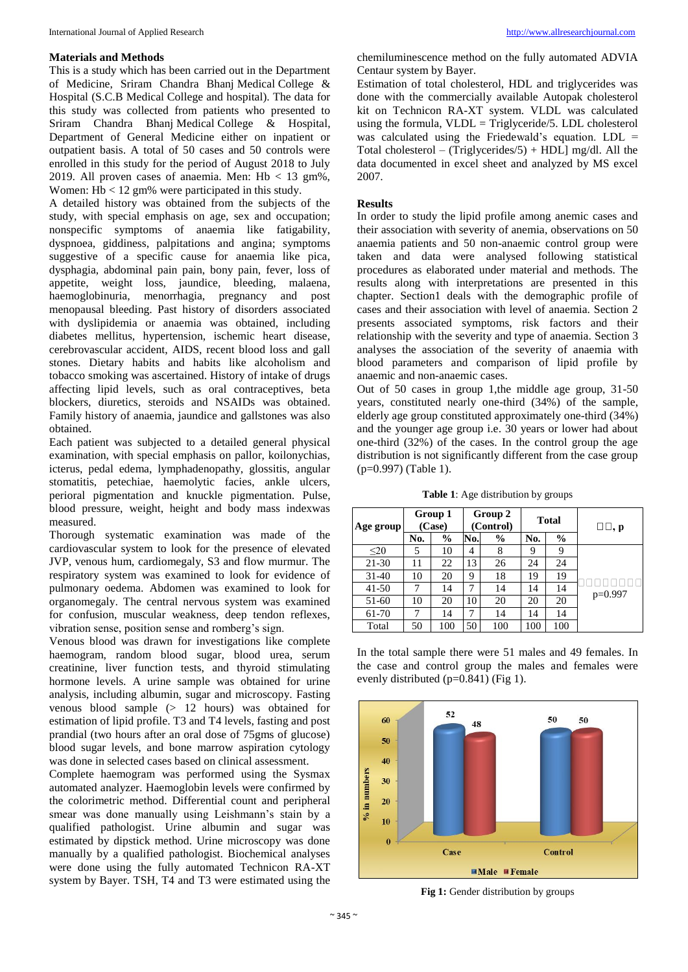#### **Materials and Methods**

This is a study which has been carried out in the Department of Medicine, Sriram Chandra Bhanj Medical College & Hospital (S.C.B Medical College and hospital). The data for this study was collected from patients who presented to Sriram Chandra Bhanj Medical College & Hospital, Department of General Medicine either on inpatient or outpatient basis. A total of 50 cases and 50 controls were enrolled in this study for the period of August 2018 to July 2019. All proven cases of anaemia. Men:  $Hb < 13$  gm%, Women: Hb < 12 gm% were participated in this study.

A detailed history was obtained from the subjects of the study, with special emphasis on age, sex and occupation; nonspecific symptoms of anaemia like fatigability, dyspnoea, giddiness, palpitations and angina; symptoms suggestive of a specific cause for anaemia like pica, dysphagia, abdominal pain pain, bony pain, fever, loss of appetite, weight loss, jaundice, bleeding, malaena, haemoglobinuria, menorrhagia, pregnancy and post menopausal bleeding. Past history of disorders associated with dyslipidemia or anaemia was obtained, including diabetes mellitus, hypertension, ischemic heart disease, cerebrovascular accident, AIDS, recent blood loss and gall stones. Dietary habits and habits like alcoholism and tobacco smoking was ascertained. History of intake of drugs affecting lipid levels, such as oral contraceptives, beta blockers, diuretics, steroids and NSAIDs was obtained. Family history of anaemia, jaundice and gallstones was also obtained.

Each patient was subjected to a detailed general physical examination, with special emphasis on pallor, koilonychias, icterus, pedal edema, lymphadenopathy, glossitis, angular stomatitis, petechiae, haemolytic facies, ankle ulcers, perioral pigmentation and knuckle pigmentation. Pulse, blood pressure, weight, height and body mass indexwas measured.

Thorough systematic examination was made of the cardiovascular system to look for the presence of elevated JVP, venous hum, cardiomegaly, S3 and flow murmur. The respiratory system was examined to look for evidence of pulmonary oedema. Abdomen was examined to look for organomegaly. The central nervous system was examined for confusion, muscular weakness, deep tendon reflexes, vibration sense, position sense and romberg's sign.

Venous blood was drawn for investigations like complete haemogram, random blood sugar, blood urea, serum creatinine, liver function tests, and thyroid stimulating hormone levels. A urine sample was obtained for urine analysis, including albumin, sugar and microscopy. Fasting venous blood sample (> 12 hours) was obtained for estimation of lipid profile. T3 and T4 levels, fasting and post prandial (two hours after an oral dose of 75gms of glucose) blood sugar levels, and bone marrow aspiration cytology was done in selected cases based on clinical assessment.

Complete haemogram was performed using the Sysmax automated analyzer. Haemoglobin levels were confirmed by the colorimetric method. Differential count and peripheral smear was done manually using Leishmann's stain by a qualified pathologist. Urine albumin and sugar was estimated by dipstick method. Urine microscopy was done manually by a qualified pathologist. Biochemical analyses were done using the fully automated Technicon RA-XT system by Bayer. TSH, T4 and T3 were estimated using the

chemiluminescence method on the fully automated ADVIA Centaur system by Bayer.

Estimation of total cholesterol, HDL and triglycerides was done with the commercially available Autopak cholesterol kit on Technicon RA-XT system. VLDL was calculated using the formula,  $VLDL = Triglyceride/5$ . LDL cholesterol was calculated using the Friedewald's equation.  $LDL =$ Total cholesterol – (Triglycerides/5) + HDL mg/dl. All the data documented in excel sheet and analyzed by MS excel 2007.

#### **Results**

In order to study the lipid profile among anemic cases and their association with severity of anemia, observations on 50 anaemia patients and 50 non-anaemic control group were taken and data were analysed following statistical procedures as elaborated under material and methods. The results along with interpretations are presented in this chapter. Section1 deals with the demographic profile of cases and their association with level of anaemia. Section 2 presents associated symptoms, risk factors and their relationship with the severity and type of anaemia. Section 3 analyses the association of the severity of anaemia with blood parameters and comparison of lipid profile by anaemic and non-anaemic cases.

Out of 50 cases in group 1,the middle age group, 31-50 years, constituted nearly one-third (34%) of the sample, elderly age group constituted approximately one-third (34%) and the younger age group i.e. 30 years or lower had about one-third (32%) of the cases. In the control group the age distribution is not significantly different from the case group (p=0.997) (Table 1).

**Table 1**: Age distribution by groups

| Age group |     | Group 1<br>(Case) |     | Group 2<br>(Control) |     | <b>Total</b>  | $\Box$ $\Box$ , p |  |  |
|-----------|-----|-------------------|-----|----------------------|-----|---------------|-------------------|--|--|
|           | No. | $\frac{6}{9}$     | No. | $\frac{6}{6}$        | No. | $\frac{6}{9}$ |                   |  |  |
| $20$      | 5   | 10                | 4   | 8                    | 9   | 9             |                   |  |  |
| 21-30     |     | 22                | 13  | 26                   | 24  | 24            |                   |  |  |
| $31-40$   | 10  | 20                | 9   | 18                   | 19  | 19            |                   |  |  |
| $41 - 50$ | 7   | 14                | 7   | 14                   | 14  | 14            |                   |  |  |
| 51-60     | 10  | 20                | 10  | 20                   | 20  | 20            | $p=0.997$         |  |  |
| 61-70     |     | 14                | 7   | 14                   | 14  | 14            |                   |  |  |
| Total     | 50  | 100               | 50  | 100                  | 100 | 100           |                   |  |  |

In the total sample there were 51 males and 49 females. In the case and control group the males and females were evenly distributed  $(p=0.841)$  (Fig 1).



**Fig 1:** Gender distribution by groups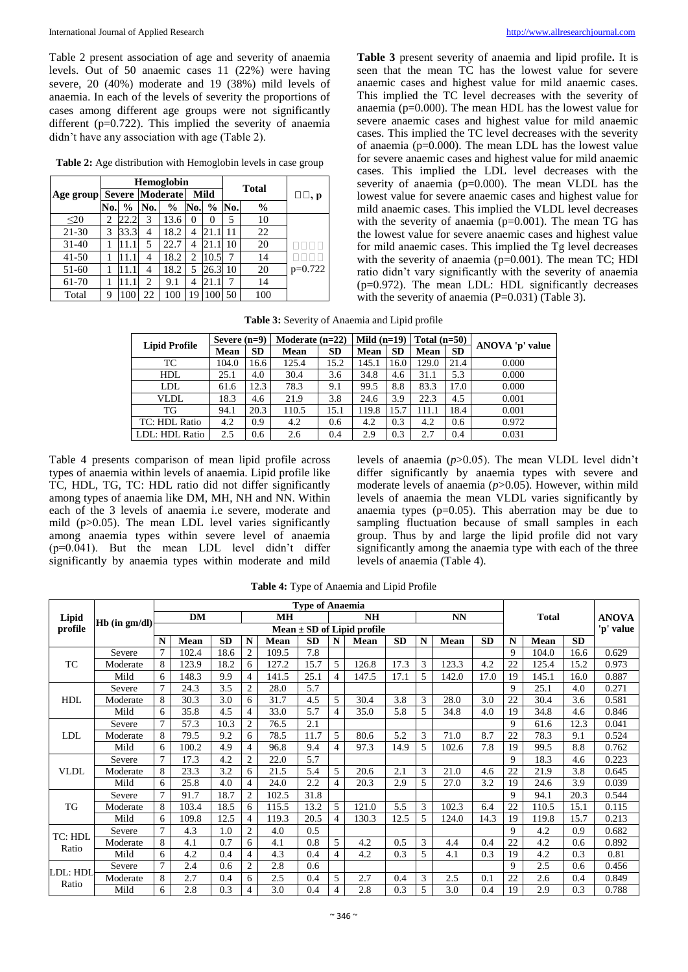#### International Journal of Applied Research [http://www.allresearchjournal.com](http://www.allresearchjournal.com/)

Table 2 present association of age and severity of anaemia levels. Out of 50 anaemic cases 11 (22%) were having severe, 20 (40%) moderate and 19 (38%) mild levels of anaemia. In each of the levels of severity the proportions of cases among different age groups were not significantly different (p=0.722). This implied the severity of anaemia didn't have any association with age (Table 2).

**Table 2:** Age distribution with Hemoglobin levels in case group

|           |               |               |                | <b>Hemoglobin</b> |                |               | <b>Total</b> |               |                   |  |
|-----------|---------------|---------------|----------------|-------------------|----------------|---------------|--------------|---------------|-------------------|--|
| Age group | <b>Severe</b> |               |                | Moderate          |                | Mild          |              |               | $\Box$ $\Box$ , p |  |
|           | No.           | $\frac{0}{0}$ | No.            | $\frac{0}{0}$     | No.            | $\frac{6}{9}$ | No.          | $\frac{0}{0}$ |                   |  |
| $\leq$ 20 | 2             | 22.2          | 3              | 13.6              | $\theta$       | 0             | 5            | 10            |                   |  |
| $21 - 30$ | 3             | 33.3          | 4              | 18.2              | $\overline{4}$ | 21            |              | 22            |                   |  |
| $31 - 40$ |               |               | 5<br>22.7      |                   | 4              | 21.           | 10           | 20            |                   |  |
| $41 - 50$ |               |               | 4              | 18.2              | 2              | 10.5          | 7            | 14            |                   |  |
| $51-60$   |               |               | 4              | 18.2              | 5              | 26.3          | 10           | 20            | $p=0.722$         |  |
| 61-70     |               | 11.           | $\overline{2}$ | 9.1               | 4              | 21.           | 7            | 14            |                   |  |
| Total     | 9             | 100           | 22             | 100               | 19             | 100           | 50           | 100           |                   |  |

**Table 3** present severity of anaemia and lipid profile*.* It is seen that the mean TC has the lowest value for severe anaemic cases and highest value for mild anaemic cases. This implied the TC level decreases with the severity of anaemia ( $p=0.000$ ). The mean HDL has the lowest value for severe anaemic cases and highest value for mild anaemic cases. This implied the TC level decreases with the severity of anaemia ( $p=0.000$ ). The mean LDL has the lowest value for severe anaemic cases and highest value for mild anaemic cases. This implied the LDL level decreases with the severity of anaemia (p=0.000). The mean VLDL has the lowest value for severe anaemic cases and highest value for mild anaemic cases. This implied the VLDL level decreases with the severity of anaemia  $(p=0.001)$ . The mean TG has the lowest value for severe anaemic cases and highest value for mild anaemic cases. This implied the Tg level decreases with the severity of anaemia (p=0.001). The mean TC; HDl ratio didn't vary significantly with the severity of anaemia (p=0.972). The mean LDL: HDL significantly decreases with the severity of anaemia  $(P=0.031)$  (Table 3).

**Table 3:** Severity of Anaemia and Lipid profile

| <b>Lipid Profile</b> | Severe $(n=9)$ |           | Moderate $(n=22)$ | Mild $(n=19)$ |       | Total $(n=50)$ |       |           |                 |
|----------------------|----------------|-----------|-------------------|---------------|-------|----------------|-------|-----------|-----------------|
|                      | Mean           | <b>SD</b> | <b>Mean</b>       | <b>SD</b>     | Mean  | <b>SD</b>      | Mean  | <b>SD</b> | ANOVA 'p' value |
| TC                   | 104.0          | 16.6      | 125.4             | 15.2          | 145.1 | 16.0           | 129.0 | 21.4      | 0.000           |
| HDL                  | 25.1           | 4.0       | 30.4              | 3.6           | 34.8  | 4.6            | 31.1  | 5.3       | 0.000           |
| LDL                  | 61.6           | 12.3      | 78.3              | 9.1           | 99.5  | 8.8            | 83.3  | 17.0      | 0.000           |
| <b>VLDL</b>          | 18.3           | 4.6       | 21.9              | 3.8           | 24.6  | 3.9            | 22.3  | 4.5       | 0.001           |
| TG                   | 94.1           | 20.3      | 110.5             | 15.1          | 119.8 | 15.7           | 111.1 | 18.4      | 0.001           |
| TC: HDL Ratio        | 4.2            | 0.9       | 4.2               | 0.6           | 4.2   | 0.3            | 4.2   | 0.6       | 0.972           |
| LDL: HDL Ratio       | 2.5            | 0.6       | 2.6               | 0.4           | 2.9   | 0.3            | 2.7   | 0.4       | 0.031           |

Table 4 presents comparison of mean lipid profile across types of anaemia within levels of anaemia. Lipid profile like TC, HDL, TG, TC: HDL ratio did not differ significantly among types of anaemia like DM, MH, NH and NN. Within each of the 3 levels of anaemia i.e severe, moderate and mild (p>0.05). The mean LDL level varies significantly among anaemia types within severe level of anaemia (p=0.041). But the mean LDL level didn't differ significantly by anaemia types within moderate and mild levels of anaemia (*p*>0.05). The mean VLDL level didn't differ significantly by anaemia types with severe and moderate levels of anaemia (*p*>0.05). However, within mild levels of anaemia the mean VLDL varies significantly by anaemia types  $(p=0.05)$ . This aberration may be due to sampling fluctuation because of small samples in each group. Thus by and large the lipid profile did not vary significantly among the anaemia type with each of the three levels of anaemia (Table 4).

**Table 4:** Type of Anaemia and Lipid Profile

|             | Hb (in gm/dl) | <b>Type of Anaemia</b> |       |           |                |       |           |   |           |           |   |       |           |    |              |                           |       |
|-------------|---------------|------------------------|-------|-----------|----------------|-------|-----------|---|-----------|-----------|---|-------|-----------|----|--------------|---------------------------|-------|
| Lipid       |               | <b>DM</b>              |       |           | MH             |       |           |   | <b>NH</b> |           |   | NN    |           |    | <b>Total</b> | <b>ANOVA</b><br>'p' value |       |
| profile     |               |                        |       |           |                |       |           |   |           |           |   |       |           |    |              |                           |       |
|             |               | N                      | Mean  | <b>SD</b> | N              | Mean  | <b>SD</b> | N | Mean      | <b>SD</b> | N | Mean  | <b>SD</b> | N  | Mean         | <b>SD</b>                 |       |
|             | Severe        | $\overline{7}$         | 102.4 | 18.6      | $\overline{2}$ | 109.5 | 7.8       |   |           |           |   |       |           | 9  | 104.0        | 16.6                      | 0.629 |
| <b>TC</b>   | Moderate      | 8                      | 123.9 | 18.2      | 6              | 127.2 | 15.7      | 5 | 126.8     | 17.3      | 3 | 123.3 | 4.2       | 22 | 125.4        | 15.2                      | 0.973 |
|             | Mild          | 6                      | 148.3 | 9.9       | $\overline{4}$ | 141.5 | 25.1      | 4 | 147.5     | 17.1      | 5 | 142.0 | 17.0      | 19 | 145.1        | 16.0                      | 0.887 |
|             | Severe        | $\overline{7}$         | 24.3  | 3.5       | $\overline{2}$ | 28.0  | 5.7       |   |           |           |   |       |           | 9  | 25.1         | 4.0                       | 0.271 |
| <b>HDL</b>  | Moderate      | 8                      | 30.3  | 3.0       | 6              | 31.7  | 4.5       | 5 | 30.4      | 3.8       | 3 | 28.0  | 3.0       | 22 | 30.4         | 3.6                       | 0.581 |
|             | Mild          | 6                      | 35.8  | 4.5       | $\overline{4}$ | 33.0  | 5.7       | 4 | 35.0      | 5.8       | 5 | 34.8  | 4.0       | 19 | 34.8         | 4.6                       | 0.846 |
|             | Severe        | $\overline{7}$         | 57.3  | 10.3      | $\overline{2}$ | 76.5  | 2.1       |   |           |           |   |       |           | 9  | 61.6         | 12.3                      | 0.041 |
| <b>LDL</b>  | Moderate      | 8                      | 79.5  | 9.2       | 6              | 78.5  | 11.7      | 5 | 80.6      | 5.2       | 3 | 71.0  | 8.7       | 22 | 78.3         | 9.1                       | 0.524 |
|             | Mild          | 6                      | 100.2 | 4.9       | $\overline{4}$ | 96.8  | 9.4       | 4 | 97.3      | 14.9      | 5 | 102.6 | 7.8       | 19 | 99.5         | 8.8                       | 0.762 |
|             | Severe        | $\tau$                 | 17.3  | 4.2       | $\overline{2}$ | 22.0  | 5.7       |   |           |           |   |       |           | 9  | 18.3         | 4.6                       | 0.223 |
| <b>VLDL</b> | Moderate      | 8                      | 23.3  | 3.2       | 6              | 21.5  | 5.4       | 5 | 20.6      | 2.1       | 3 | 21.0  | 4.6       | 22 | 21.9         | 3.8                       | 0.645 |
|             | Mild          | 6                      | 25.8  | 4.0       | $\overline{4}$ | 24.0  | 2.2       | 4 | 20.3      | 2.9       | 5 | 27.0  | 3.2       | 19 | 24.6         | 3.9                       | 0.039 |
|             | Severe        | $\tau$                 | 91.7  | 18.7      | $\overline{2}$ | 102.5 | 31.8      |   |           |           |   |       |           | 9  | 94.1         | 20.3                      | 0.544 |
| TG          | Moderate      | 8                      | 103.4 | 18.5      | 6              | 115.5 | 13.2      | 5 | 121.0     | 5.5       | 3 | 102.3 | 6.4       | 22 | 110.5        | 15.1                      | 0.115 |
|             | Mild          | 6                      | 109.8 | 12.5      | $\overline{4}$ | 119.3 | 20.5      | 4 | 130.3     | 12.5      | 5 | 124.0 | 14.3      | 19 | 119.8        | 15.7                      | 0.213 |
|             | Severe        | $\overline{7}$         | 4.3   | 1.0       | $\overline{2}$ | 4.0   | 0.5       |   |           |           |   |       |           | 9  | 4.2          | 0.9                       | 0.682 |
| TC: HDL     | Moderate      | 8                      | 4.1   | 0.7       | 6              | 4.1   | 0.8       | 5 | 4.2       | 0.5       | 3 | 4.4   | 0.4       | 22 | 4.2          | 0.6                       | 0.892 |
| Ratio       | Mild          | 6                      | 4.2   | 0.4       | $\overline{4}$ | 4.3   | 0.4       | 4 | 4.2       | 0.3       | 5 | 4.1   | 0.3       | 19 | 4.2          | 0.3                       | 0.81  |
|             | Severe        | $\overline{7}$         | 2.4   | 0.6       | $\overline{2}$ | 2.8   | 0.6       |   |           |           |   |       |           | 9  | 2.5          | 0.6                       | 0.456 |
| LDL: HDL    | Moderate      | 8                      | 2.7   | 0.4       | 6              | 2.5   | 0.4       | 5 | 2.7       | 0.4       | 3 | 2.5   | 0.1       | 22 | 2.6          | 0.4                       | 0.849 |
| Ratio       | Mild          | 6                      | 2.8   | 0.3       | 4              | 3.0   | 0.4       | 4 | 2.8       | 0.3       | 5 | 3.0   | 0.4       | 19 | 2.9          | 0.3                       | 0.788 |